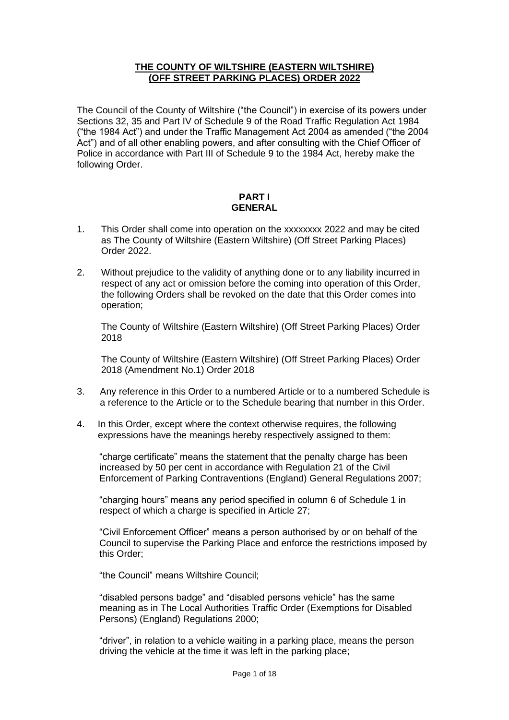### **THE COUNTY OF WILTSHIRE (EASTERN WILTSHIRE) (OFF STREET PARKING PLACES) ORDER 2022**

The Council of the County of Wiltshire ("the Council") in exercise of its powers under Sections 32, 35 and Part IV of Schedule 9 of the Road Traffic Regulation Act 1984 ("the 1984 Act") and under the Traffic Management Act 2004 as amended ("the 2004 Act") and of all other enabling powers, and after consulting with the Chief Officer of Police in accordance with Part III of Schedule 9 to the 1984 Act, hereby make the following Order.

#### **PART I GENERAL**

- 1. This Order shall come into operation on the xxxxxxxx 2022 and may be cited as The County of Wiltshire (Eastern Wiltshire) (Off Street Parking Places) Order 2022.
- 2. Without prejudice to the validity of anything done or to any liability incurred in respect of any act or omission before the coming into operation of this Order, the following Orders shall be revoked on the date that this Order comes into operation;

The County of Wiltshire (Eastern Wiltshire) (Off Street Parking Places) Order 2018

The County of Wiltshire (Eastern Wiltshire) (Off Street Parking Places) Order 2018 (Amendment No.1) Order 2018

- 3. Any reference in this Order to a numbered Article or to a numbered Schedule is a reference to the Article or to the Schedule bearing that number in this Order.
- 4. In this Order, except where the context otherwise requires, the following expressions have the meanings hereby respectively assigned to them:

"charge certificate" means the statement that the penalty charge has been increased by 50 per cent in accordance with Regulation 21 of the Civil Enforcement of Parking Contraventions (England) General Regulations 2007;

"charging hours" means any period specified in column 6 of Schedule 1 in respect of which a charge is specified in Article 27;

"Civil Enforcement Officer" means a person authorised by or on behalf of the Council to supervise the Parking Place and enforce the restrictions imposed by this Order;

"the Council" means Wiltshire Council;

"disabled persons badge" and "disabled persons vehicle" has the same meaning as in The Local Authorities Traffic Order (Exemptions for Disabled Persons) (England) Regulations 2000;

"driver", in relation to a vehicle waiting in a parking place, means the person driving the vehicle at the time it was left in the parking place;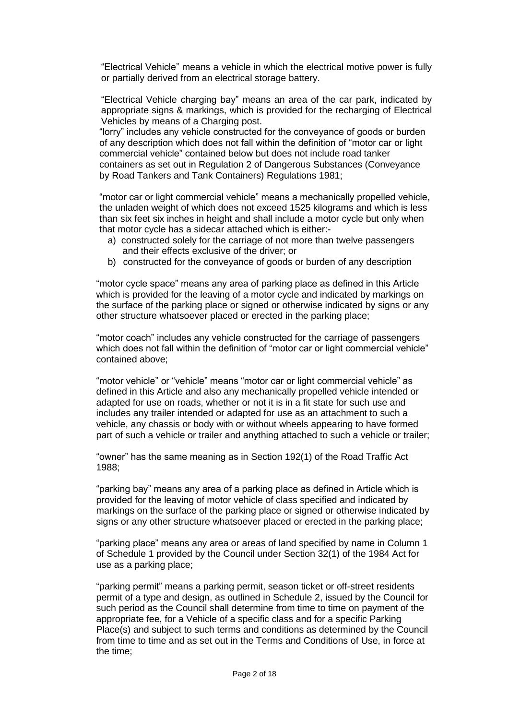"Electrical Vehicle" means a vehicle in which the electrical motive power is fully or partially derived from an electrical storage battery.

"Electrical Vehicle charging bay" means an area of the car park, indicated by appropriate signs & markings, which is provided for the recharging of Electrical Vehicles by means of a Charging post.

"lorry" includes any vehicle constructed for the conveyance of goods or burden of any description which does not fall within the definition of "motor car or light commercial vehicle" contained below but does not include road tanker containers as set out in Regulation 2 of Dangerous Substances (Conveyance by Road Tankers and Tank Containers) Regulations 1981;

"motor car or light commercial vehicle" means a mechanically propelled vehicle, the unladen weight of which does not exceed 1525 kilograms and which is less than six feet six inches in height and shall include a motor cycle but only when that motor cycle has a sidecar attached which is either:-

- a) constructed solely for the carriage of not more than twelve passengers and their effects exclusive of the driver; or
- b) constructed for the conveyance of goods or burden of any description

"motor cycle space" means any area of parking place as defined in this Article which is provided for the leaving of a motor cycle and indicated by markings on the surface of the parking place or signed or otherwise indicated by signs or any other structure whatsoever placed or erected in the parking place;

"motor coach" includes any vehicle constructed for the carriage of passengers which does not fall within the definition of "motor car or light commercial vehicle" contained above;

"motor vehicle" or "vehicle" means "motor car or light commercial vehicle" as defined in this Article and also any mechanically propelled vehicle intended or adapted for use on roads, whether or not it is in a fit state for such use and includes any trailer intended or adapted for use as an attachment to such a vehicle, any chassis or body with or without wheels appearing to have formed part of such a vehicle or trailer and anything attached to such a vehicle or trailer;

"owner" has the same meaning as in Section 192(1) of the Road Traffic Act 1988;

"parking bay" means any area of a parking place as defined in Article which is provided for the leaving of motor vehicle of class specified and indicated by markings on the surface of the parking place or signed or otherwise indicated by signs or any other structure whatsoever placed or erected in the parking place;

"parking place" means any area or areas of land specified by name in Column 1 of Schedule 1 provided by the Council under Section 32(1) of the 1984 Act for use as a parking place;

"parking permit" means a parking permit, season ticket or off-street residents permit of a type and design, as outlined in Schedule 2, issued by the Council for such period as the Council shall determine from time to time on payment of the appropriate fee, for a Vehicle of a specific class and for a specific Parking Place(s) and subject to such terms and conditions as determined by the Council from time to time and as set out in the Terms and Conditions of Use, in force at the time;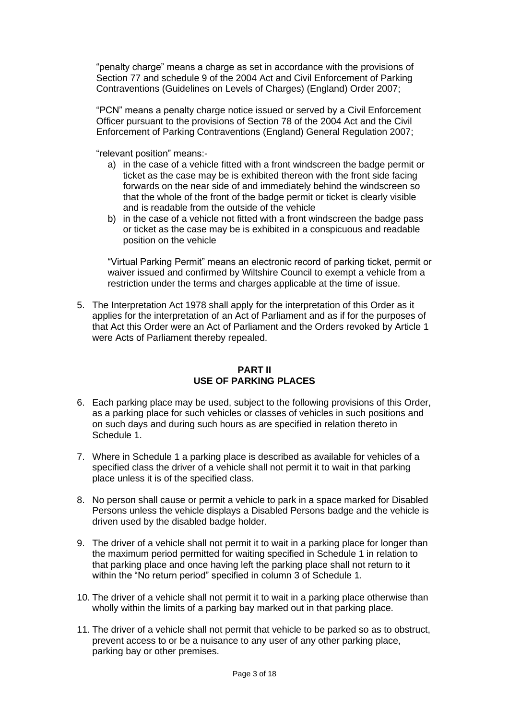"penalty charge" means a charge as set in accordance with the provisions of Section 77 and schedule 9 of the 2004 Act and Civil Enforcement of Parking Contraventions (Guidelines on Levels of Charges) (England) Order 2007;

"PCN" means a penalty charge notice issued or served by a Civil Enforcement Officer pursuant to the provisions of Section 78 of the 2004 Act and the Civil Enforcement of Parking Contraventions (England) General Regulation 2007;

"relevant position" means:-

- a) in the case of a vehicle fitted with a front windscreen the badge permit or ticket as the case may be is exhibited thereon with the front side facing forwards on the near side of and immediately behind the windscreen so that the whole of the front of the badge permit or ticket is clearly visible and is readable from the outside of the vehicle
- b) in the case of a vehicle not fitted with a front windscreen the badge pass or ticket as the case may be is exhibited in a conspicuous and readable position on the vehicle

"Virtual Parking Permit" means an electronic record of parking ticket, permit or waiver issued and confirmed by Wiltshire Council to exempt a vehicle from a restriction under the terms and charges applicable at the time of issue.

5. The Interpretation Act 1978 shall apply for the interpretation of this Order as it applies for the interpretation of an Act of Parliament and as if for the purposes of that Act this Order were an Act of Parliament and the Orders revoked by Article 1 were Acts of Parliament thereby repealed.

## **PART II USE OF PARKING PLACES**

- 6. Each parking place may be used, subject to the following provisions of this Order, as a parking place for such vehicles or classes of vehicles in such positions and on such days and during such hours as are specified in relation thereto in Schedule 1.
- 7. Where in Schedule 1 a parking place is described as available for vehicles of a specified class the driver of a vehicle shall not permit it to wait in that parking place unless it is of the specified class.
- 8. No person shall cause or permit a vehicle to park in a space marked for Disabled Persons unless the vehicle displays a Disabled Persons badge and the vehicle is driven used by the disabled badge holder.
- 9. The driver of a vehicle shall not permit it to wait in a parking place for longer than the maximum period permitted for waiting specified in Schedule 1 in relation to that parking place and once having left the parking place shall not return to it within the "No return period" specified in column 3 of Schedule 1.
- 10. The driver of a vehicle shall not permit it to wait in a parking place otherwise than wholly within the limits of a parking bay marked out in that parking place.
- 11. The driver of a vehicle shall not permit that vehicle to be parked so as to obstruct, prevent access to or be a nuisance to any user of any other parking place, parking bay or other premises.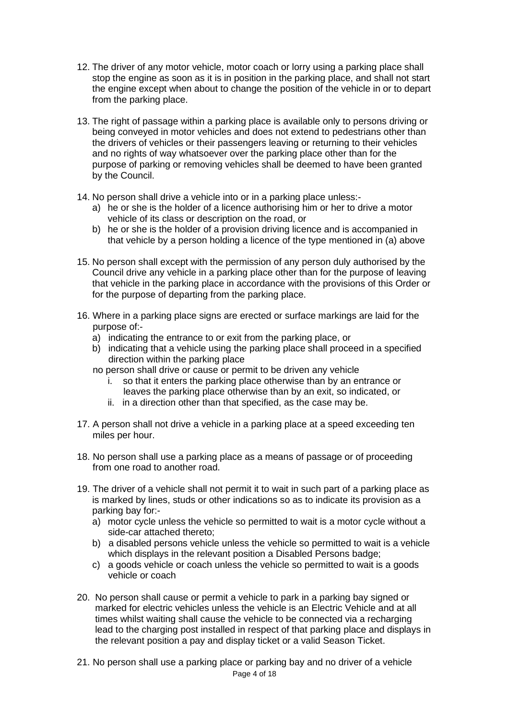- 12. The driver of any motor vehicle, motor coach or lorry using a parking place shall stop the engine as soon as it is in position in the parking place, and shall not start the engine except when about to change the position of the vehicle in or to depart from the parking place.
- 13. The right of passage within a parking place is available only to persons driving or being conveyed in motor vehicles and does not extend to pedestrians other than the drivers of vehicles or their passengers leaving or returning to their vehicles and no rights of way whatsoever over the parking place other than for the purpose of parking or removing vehicles shall be deemed to have been granted by the Council.
- 14. No person shall drive a vehicle into or in a parking place unless:
	- a) he or she is the holder of a licence authorising him or her to drive a motor vehicle of its class or description on the road, or
	- b) he or she is the holder of a provision driving licence and is accompanied in that vehicle by a person holding a licence of the type mentioned in (a) above
- 15. No person shall except with the permission of any person duly authorised by the Council drive any vehicle in a parking place other than for the purpose of leaving that vehicle in the parking place in accordance with the provisions of this Order or for the purpose of departing from the parking place.
- 16. Where in a parking place signs are erected or surface markings are laid for the purpose of:
	- a) indicating the entrance to or exit from the parking place, or
	- b) indicating that a vehicle using the parking place shall proceed in a specified direction within the parking place
	- no person shall drive or cause or permit to be driven any vehicle
		- i. so that it enters the parking place otherwise than by an entrance or leaves the parking place otherwise than by an exit, so indicated, or
		- ii. in a direction other than that specified, as the case may be.
- 17. A person shall not drive a vehicle in a parking place at a speed exceeding ten miles per hour.
- 18. No person shall use a parking place as a means of passage or of proceeding from one road to another road.
- 19. The driver of a vehicle shall not permit it to wait in such part of a parking place as is marked by lines, studs or other indications so as to indicate its provision as a parking bay for:
	- a) motor cycle unless the vehicle so permitted to wait is a motor cycle without a side-car attached thereto;
	- b) a disabled persons vehicle unless the vehicle so permitted to wait is a vehicle which displays in the relevant position a Disabled Persons badge;
	- c) a goods vehicle or coach unless the vehicle so permitted to wait is a goods vehicle or coach
- 20. No person shall cause or permit a vehicle to park in a parking bay signed or marked for electric vehicles unless the vehicle is an Electric Vehicle and at all times whilst waiting shall cause the vehicle to be connected via a recharging lead to the charging post installed in respect of that parking place and displays in the relevant position a pay and display ticket or a valid Season Ticket.
- Page 4 of 18 21. No person shall use a parking place or parking bay and no driver of a vehicle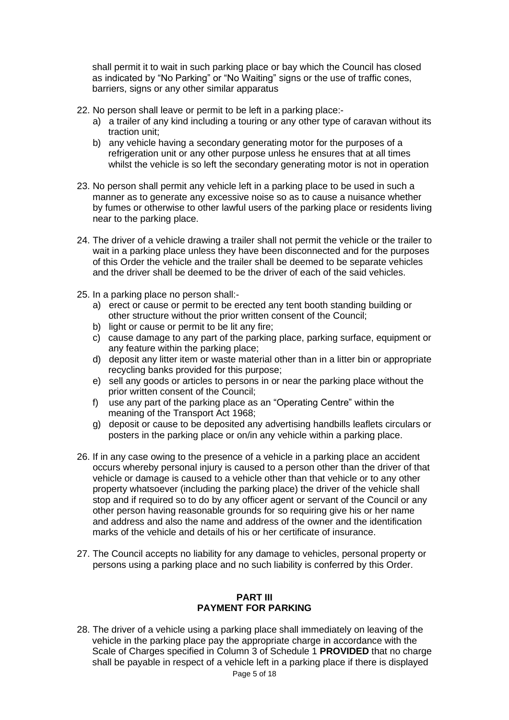shall permit it to wait in such parking place or bay which the Council has closed as indicated by "No Parking" or "No Waiting" signs or the use of traffic cones, barriers, signs or any other similar apparatus

- 22. No person shall leave or permit to be left in a parking place:
	- a) a trailer of any kind including a touring or any other type of caravan without its traction unit;
	- b) any vehicle having a secondary generating motor for the purposes of a refrigeration unit or any other purpose unless he ensures that at all times whilst the vehicle is so left the secondary generating motor is not in operation
- 23. No person shall permit any vehicle left in a parking place to be used in such a manner as to generate any excessive noise so as to cause a nuisance whether by fumes or otherwise to other lawful users of the parking place or residents living near to the parking place.
- 24. The driver of a vehicle drawing a trailer shall not permit the vehicle or the trailer to wait in a parking place unless they have been disconnected and for the purposes of this Order the vehicle and the trailer shall be deemed to be separate vehicles and the driver shall be deemed to be the driver of each of the said vehicles.
- 25. In a parking place no person shall:
	- a) erect or cause or permit to be erected any tent booth standing building or other structure without the prior written consent of the Council;
	- b) light or cause or permit to be lit any fire;
	- c) cause damage to any part of the parking place, parking surface, equipment or any feature within the parking place;
	- d) deposit any litter item or waste material other than in a litter bin or appropriate recycling banks provided for this purpose;
	- e) sell any goods or articles to persons in or near the parking place without the prior written consent of the Council;
	- f) use any part of the parking place as an "Operating Centre" within the meaning of the Transport Act 1968;
	- g) deposit or cause to be deposited any advertising handbills leaflets circulars or posters in the parking place or on/in any vehicle within a parking place.
- 26. If in any case owing to the presence of a vehicle in a parking place an accident occurs whereby personal injury is caused to a person other than the driver of that vehicle or damage is caused to a vehicle other than that vehicle or to any other property whatsoever (including the parking place) the driver of the vehicle shall stop and if required so to do by any officer agent or servant of the Council or any other person having reasonable grounds for so requiring give his or her name and address and also the name and address of the owner and the identification marks of the vehicle and details of his or her certificate of insurance.
- 27. The Council accepts no liability for any damage to vehicles, personal property or persons using a parking place and no such liability is conferred by this Order.

#### **PART III PAYMENT FOR PARKING**

Page 5 of 18 28. The driver of a vehicle using a parking place shall immediately on leaving of the vehicle in the parking place pay the appropriate charge in accordance with the Scale of Charges specified in Column 3 of Schedule 1 **PROVIDED** that no charge shall be payable in respect of a vehicle left in a parking place if there is displayed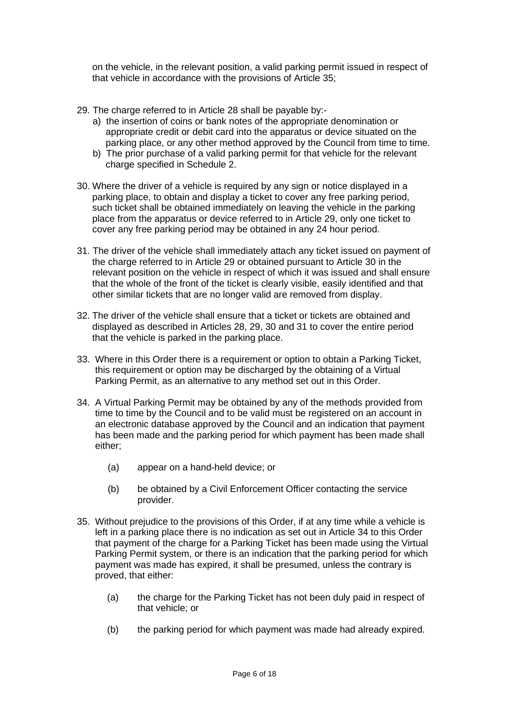on the vehicle, in the relevant position, a valid parking permit issued in respect of that vehicle in accordance with the provisions of Article 35;

- 29. The charge referred to in Article 28 shall be payable by:
	- a) the insertion of coins or bank notes of the appropriate denomination or appropriate credit or debit card into the apparatus or device situated on the parking place, or any other method approved by the Council from time to time.
	- b) The prior purchase of a valid parking permit for that vehicle for the relevant charge specified in Schedule 2.
- 30. Where the driver of a vehicle is required by any sign or notice displayed in a parking place, to obtain and display a ticket to cover any free parking period, such ticket shall be obtained immediately on leaving the vehicle in the parking place from the apparatus or device referred to in Article 29, only one ticket to cover any free parking period may be obtained in any 24 hour period.
- 31. The driver of the vehicle shall immediately attach any ticket issued on payment of the charge referred to in Article 29 or obtained pursuant to Article 30 in the relevant position on the vehicle in respect of which it was issued and shall ensure that the whole of the front of the ticket is clearly visible, easily identified and that other similar tickets that are no longer valid are removed from display.
- 32. The driver of the vehicle shall ensure that a ticket or tickets are obtained and displayed as described in Articles 28, 29, 30 and 31 to cover the entire period that the vehicle is parked in the parking place.
- 33. Where in this Order there is a requirement or option to obtain a Parking Ticket, this requirement or option may be discharged by the obtaining of a Virtual Parking Permit, as an alternative to any method set out in this Order.
- 34. A Virtual Parking Permit may be obtained by any of the methods provided from time to time by the Council and to be valid must be registered on an account in an electronic database approved by the Council and an indication that payment has been made and the parking period for which payment has been made shall either;
	- (a) appear on a hand-held device; or
	- (b) be obtained by a Civil Enforcement Officer contacting the service provider.
- 35. Without prejudice to the provisions of this Order, if at any time while a vehicle is left in a parking place there is no indication as set out in Article 34 to this Order that payment of the charge for a Parking Ticket has been made using the Virtual Parking Permit system, or there is an indication that the parking period for which payment was made has expired, it shall be presumed, unless the contrary is proved, that either:
	- (a) the charge for the Parking Ticket has not been duly paid in respect of that vehicle; or
	- (b) the parking period for which payment was made had already expired.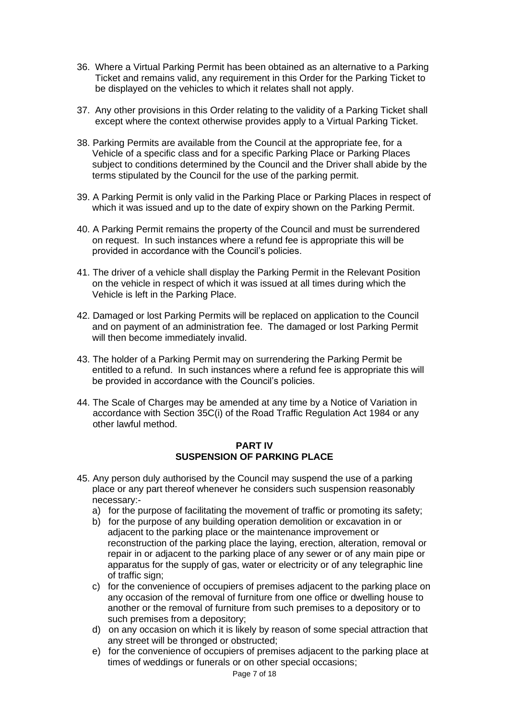- 36. Where a Virtual Parking Permit has been obtained as an alternative to a Parking Ticket and remains valid, any requirement in this Order for the Parking Ticket to be displayed on the vehicles to which it relates shall not apply.
- 37. Any other provisions in this Order relating to the validity of a Parking Ticket shall except where the context otherwise provides apply to a Virtual Parking Ticket.
- 38. Parking Permits are available from the Council at the appropriate fee, for a Vehicle of a specific class and for a specific Parking Place or Parking Places subject to conditions determined by the Council and the Driver shall abide by the terms stipulated by the Council for the use of the parking permit.
- 39. A Parking Permit is only valid in the Parking Place or Parking Places in respect of which it was issued and up to the date of expiry shown on the Parking Permit.
- 40. A Parking Permit remains the property of the Council and must be surrendered on request. In such instances where a refund fee is appropriate this will be provided in accordance with the Council's policies.
- 41. The driver of a vehicle shall display the Parking Permit in the Relevant Position on the vehicle in respect of which it was issued at all times during which the Vehicle is left in the Parking Place.
- 42. Damaged or lost Parking Permits will be replaced on application to the Council and on payment of an administration fee. The damaged or lost Parking Permit will then become immediately invalid.
- 43. The holder of a Parking Permit may on surrendering the Parking Permit be entitled to a refund. In such instances where a refund fee is appropriate this will be provided in accordance with the Council's policies.
- 44. The Scale of Charges may be amended at any time by a Notice of Variation in accordance with Section 35C(i) of the Road Traffic Regulation Act 1984 or any other lawful method.

### **PART IV SUSPENSION OF PARKING PLACE**

- 45. Any person duly authorised by the Council may suspend the use of a parking place or any part thereof whenever he considers such suspension reasonably necessary:
	- a) for the purpose of facilitating the movement of traffic or promoting its safety;
	- b) for the purpose of any building operation demolition or excavation in or adjacent to the parking place or the maintenance improvement or reconstruction of the parking place the laying, erection, alteration, removal or repair in or adjacent to the parking place of any sewer or of any main pipe or apparatus for the supply of gas, water or electricity or of any telegraphic line of traffic sign;
	- c) for the convenience of occupiers of premises adjacent to the parking place on any occasion of the removal of furniture from one office or dwelling house to another or the removal of furniture from such premises to a depository or to such premises from a depository;
	- d) on any occasion on which it is likely by reason of some special attraction that any street will be thronged or obstructed;
	- e) for the convenience of occupiers of premises adjacent to the parking place at times of weddings or funerals or on other special occasions;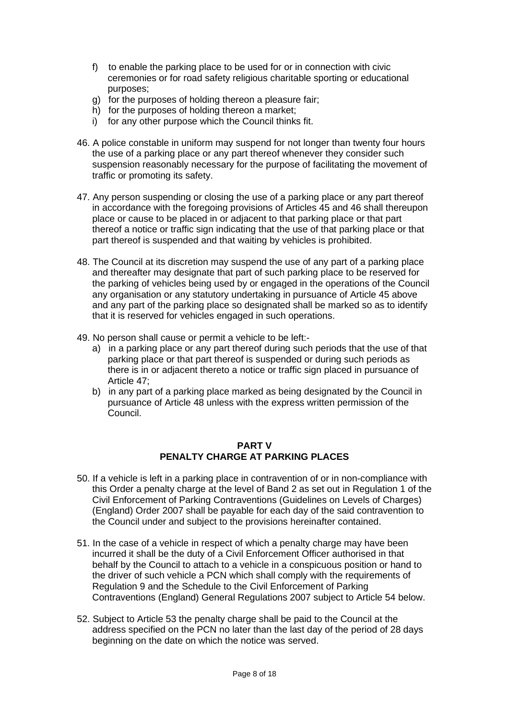- f) to enable the parking place to be used for or in connection with civic ceremonies or for road safety religious charitable sporting or educational purposes;
- g) for the purposes of holding thereon a pleasure fair;
- h) for the purposes of holding thereon a market;
- i) for any other purpose which the Council thinks fit.
- 46. A police constable in uniform may suspend for not longer than twenty four hours the use of a parking place or any part thereof whenever they consider such suspension reasonably necessary for the purpose of facilitating the movement of traffic or promoting its safety.
- 47. Any person suspending or closing the use of a parking place or any part thereof in accordance with the foregoing provisions of Articles 45 and 46 shall thereupon place or cause to be placed in or adjacent to that parking place or that part thereof a notice or traffic sign indicating that the use of that parking place or that part thereof is suspended and that waiting by vehicles is prohibited.
- 48. The Council at its discretion may suspend the use of any part of a parking place and thereafter may designate that part of such parking place to be reserved for the parking of vehicles being used by or engaged in the operations of the Council any organisation or any statutory undertaking in pursuance of Article 45 above and any part of the parking place so designated shall be marked so as to identify that it is reserved for vehicles engaged in such operations.
- 49. No person shall cause or permit a vehicle to be left:
	- a) in a parking place or any part thereof during such periods that the use of that parking place or that part thereof is suspended or during such periods as there is in or adjacent thereto a notice or traffic sign placed in pursuance of Article 47;
	- b) in any part of a parking place marked as being designated by the Council in pursuance of Article 48 unless with the express written permission of the Council.

### **PART V PENALTY CHARGE AT PARKING PLACES**

- 50. If a vehicle is left in a parking place in contravention of or in non-compliance with this Order a penalty charge at the level of Band 2 as set out in Regulation 1 of the Civil Enforcement of Parking Contraventions (Guidelines on Levels of Charges) (England) Order 2007 shall be payable for each day of the said contravention to the Council under and subject to the provisions hereinafter contained.
- 51. In the case of a vehicle in respect of which a penalty charge may have been incurred it shall be the duty of a Civil Enforcement Officer authorised in that behalf by the Council to attach to a vehicle in a conspicuous position or hand to the driver of such vehicle a PCN which shall comply with the requirements of Regulation 9 and the Schedule to the Civil Enforcement of Parking Contraventions (England) General Regulations 2007 subject to Article 54 below.
- 52. Subject to Article 53 the penalty charge shall be paid to the Council at the address specified on the PCN no later than the last day of the period of 28 days beginning on the date on which the notice was served.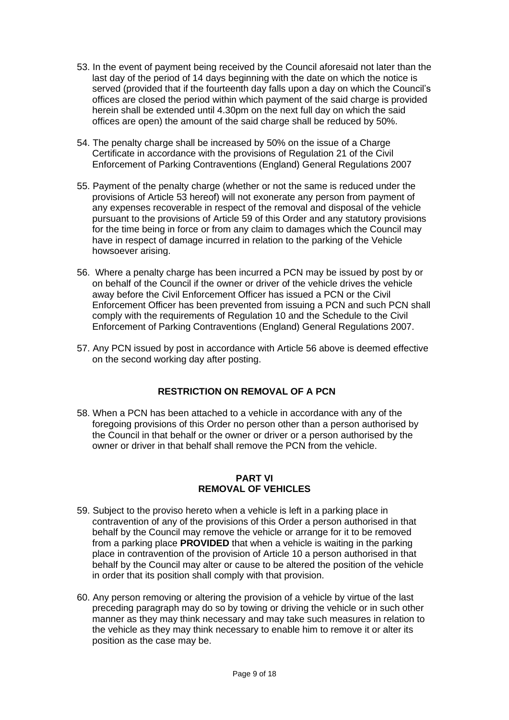- 53. In the event of payment being received by the Council aforesaid not later than the last day of the period of 14 days beginning with the date on which the notice is served (provided that if the fourteenth day falls upon a day on which the Council's offices are closed the period within which payment of the said charge is provided herein shall be extended until 4.30pm on the next full day on which the said offices are open) the amount of the said charge shall be reduced by 50%.
- 54. The penalty charge shall be increased by 50% on the issue of a Charge Certificate in accordance with the provisions of Regulation 21 of the Civil Enforcement of Parking Contraventions (England) General Regulations 2007
- 55. Payment of the penalty charge (whether or not the same is reduced under the provisions of Article 53 hereof) will not exonerate any person from payment of any expenses recoverable in respect of the removal and disposal of the vehicle pursuant to the provisions of Article 59 of this Order and any statutory provisions for the time being in force or from any claim to damages which the Council may have in respect of damage incurred in relation to the parking of the Vehicle howsoever arising.
- 56. Where a penalty charge has been incurred a PCN may be issued by post by or on behalf of the Council if the owner or driver of the vehicle drives the vehicle away before the Civil Enforcement Officer has issued a PCN or the Civil Enforcement Officer has been prevented from issuing a PCN and such PCN shall comply with the requirements of Regulation 10 and the Schedule to the Civil Enforcement of Parking Contraventions (England) General Regulations 2007.
- 57. Any PCN issued by post in accordance with Article 56 above is deemed effective on the second working day after posting.

### **RESTRICTION ON REMOVAL OF A PCN**

58. When a PCN has been attached to a vehicle in accordance with any of the foregoing provisions of this Order no person other than a person authorised by the Council in that behalf or the owner or driver or a person authorised by the owner or driver in that behalf shall remove the PCN from the vehicle.

#### **PART VI REMOVAL OF VEHICLES**

- 59. Subject to the proviso hereto when a vehicle is left in a parking place in contravention of any of the provisions of this Order a person authorised in that behalf by the Council may remove the vehicle or arrange for it to be removed from a parking place **PROVIDED** that when a vehicle is waiting in the parking place in contravention of the provision of Article 10 a person authorised in that behalf by the Council may alter or cause to be altered the position of the vehicle in order that its position shall comply with that provision.
- 60. Any person removing or altering the provision of a vehicle by virtue of the last preceding paragraph may do so by towing or driving the vehicle or in such other manner as they may think necessary and may take such measures in relation to the vehicle as they may think necessary to enable him to remove it or alter its position as the case may be.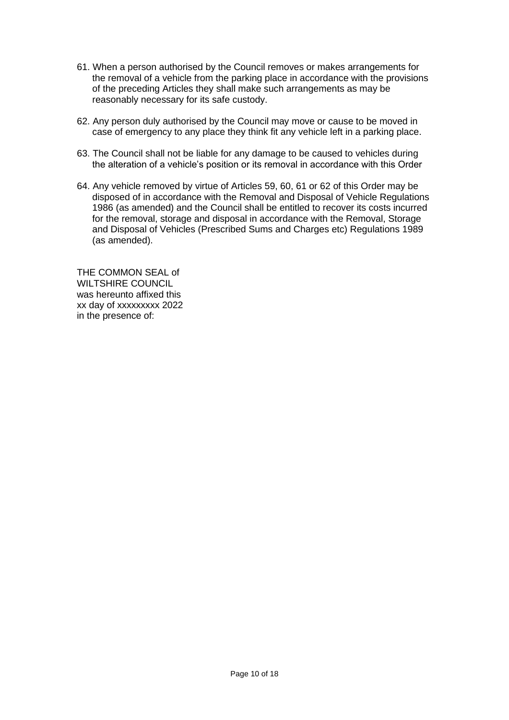- 61. When a person authorised by the Council removes or makes arrangements for the removal of a vehicle from the parking place in accordance with the provisions of the preceding Articles they shall make such arrangements as may be reasonably necessary for its safe custody.
- 62. Any person duly authorised by the Council may move or cause to be moved in case of emergency to any place they think fit any vehicle left in a parking place.
- 63. The Council shall not be liable for any damage to be caused to vehicles during the alteration of a vehicle's position or its removal in accordance with this Order
- 64. Any vehicle removed by virtue of Articles 59, 60, 61 or 62 of this Order may be disposed of in accordance with the Removal and Disposal of Vehicle Regulations 1986 (as amended) and the Council shall be entitled to recover its costs incurred for the removal, storage and disposal in accordance with the Removal, Storage and Disposal of Vehicles (Prescribed Sums and Charges etc) Regulations 1989 (as amended).

THE COMMON SEAL of WILTSHIRE COUNCIL was hereunto affixed this xx day of xxxxxxxxx 2022 in the presence of: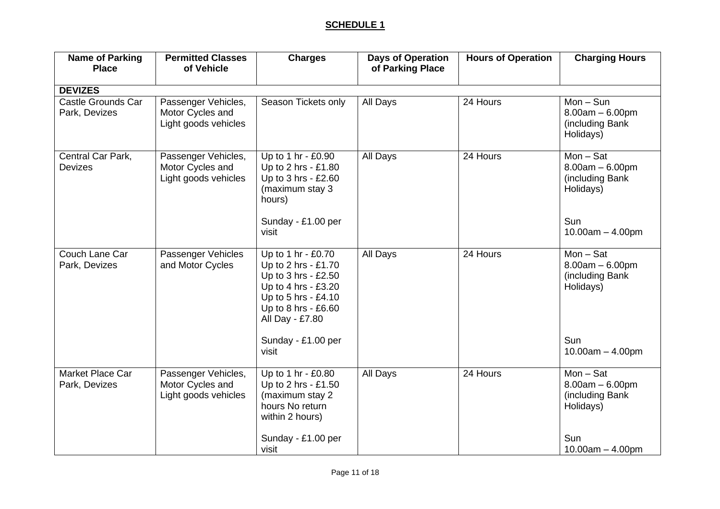# **SCHEDULE 1**

| <b>Name of Parking</b><br><b>Place</b>     | <b>Permitted Classes</b><br>of Vehicle                          | <b>Charges</b>                                                                                                                                                                          | <b>Days of Operation</b><br>of Parking Place | <b>Hours of Operation</b> | <b>Charging Hours</b>                                                                          |
|--------------------------------------------|-----------------------------------------------------------------|-----------------------------------------------------------------------------------------------------------------------------------------------------------------------------------------|----------------------------------------------|---------------------------|------------------------------------------------------------------------------------------------|
| <b>DEVIZES</b>                             |                                                                 |                                                                                                                                                                                         |                                              |                           |                                                                                                |
| <b>Castle Grounds Car</b><br>Park, Devizes | Passenger Vehicles,<br>Motor Cycles and<br>Light goods vehicles | Season Tickets only                                                                                                                                                                     | All Days                                     | 24 Hours                  | $Mon-Sun$<br>$8.00am - 6.00pm$<br>(including Bank<br>Holidays)                                 |
| Central Car Park,<br><b>Devizes</b>        | Passenger Vehicles,<br>Motor Cycles and<br>Light goods vehicles | Up to 1 hr - £0.90<br>Up to 2 hrs - £1.80<br>Up to 3 hrs - £2.60<br>(maximum stay 3<br>hours)<br>Sunday - £1.00 per<br>visit                                                            | All Days                                     | 24 Hours                  | $Mon - Sat$<br>$8.00am - 6.00pm$<br>(including Bank<br>Holidays)<br>Sun<br>$10.00am - 4.00pm$  |
| Couch Lane Car<br>Park, Devizes            | Passenger Vehicles<br>and Motor Cycles                          | Up to 1 hr - £0.70<br>Up to 2 hrs - £1.70<br>Up to 3 hrs - £2.50<br>Up to 4 hrs - £3.20<br>Up to 5 hrs - £4.10<br>Up to 8 hrs - £6.60<br>All Day - £7.80<br>Sunday - £1.00 per<br>visit | All Days                                     | 24 Hours                  | $Mon - Sat$<br>$8.00am - 6.00pm$<br>(including Bank<br>Holidays)<br>Sun<br>$10.00am - 4.00pm$  |
| Market Place Car<br>Park, Devizes          | Passenger Vehicles,<br>Motor Cycles and<br>Light goods vehicles | Up to 1 hr - £0.80<br>Up to 2 hrs - £1.50<br>(maximum stay 2<br>hours No return<br>within 2 hours)<br>Sunday - £1.00 per<br>visit                                                       | All Days                                     | 24 Hours                  | $Mon - Sat$<br>$8.00am - 6.00pm$<br>(including Bank)<br>Holidays)<br>Sun<br>$10.00am - 4.00pm$ |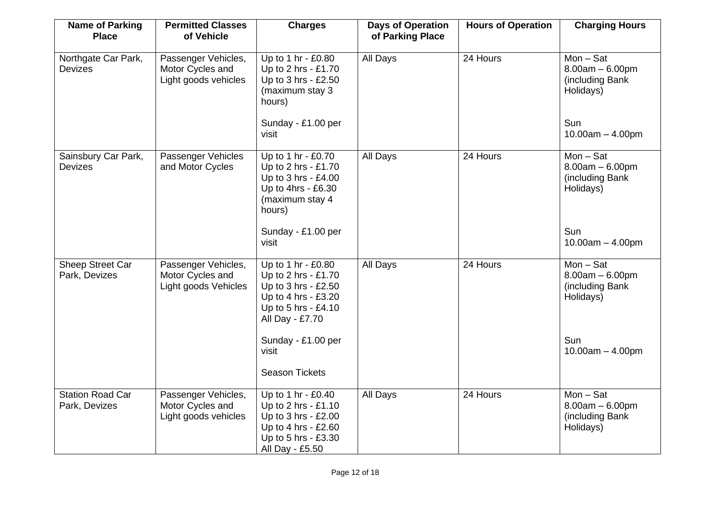| <b>Name of Parking</b><br><b>Place</b>   | <b>Permitted Classes</b><br>of Vehicle                          | <b>Charges</b>                                                                                                                    | <b>Days of Operation</b><br>of Parking Place | <b>Hours of Operation</b> | <b>Charging Hours</b>                                            |
|------------------------------------------|-----------------------------------------------------------------|-----------------------------------------------------------------------------------------------------------------------------------|----------------------------------------------|---------------------------|------------------------------------------------------------------|
| Northgate Car Park,<br><b>Devizes</b>    | Passenger Vehicles,<br>Motor Cycles and<br>Light goods vehicles | Up to 1 hr - £0.80<br>Up to 2 hrs - £1.70<br>Up to 3 hrs - £2.50<br>(maximum stay 3<br>hours)                                     | All Days                                     | 24 Hours                  | $Mon - Sat$<br>$8.00am - 6.00pm$<br>(including Bank<br>Holidays) |
|                                          |                                                                 | Sunday - £1.00 per<br>visit                                                                                                       |                                              |                           | Sun<br>$10.00am - 4.00pm$                                        |
| Sainsbury Car Park,<br><b>Devizes</b>    | Passenger Vehicles<br>and Motor Cycles                          | Up to 1 hr - £0.70<br>Up to 2 hrs - £1.70<br>Up to 3 hrs - £4.00<br>Up to 4hrs - £6.30<br>(maximum stay 4<br>hours)               | All Days                                     | 24 Hours                  | $Mon - Sat$<br>$8.00am - 6.00pm$<br>(including Bank<br>Holidays) |
|                                          |                                                                 | Sunday - £1.00 per<br>visit                                                                                                       |                                              |                           | Sun<br>$10.00am - 4.00pm$                                        |
| Sheep Street Car<br>Park, Devizes        | Passenger Vehicles,<br>Motor Cycles and<br>Light goods Vehicles | Up to 1 hr - £0.80<br>Up to 2 hrs - £1.70<br>Up to 3 hrs - £2.50<br>Up to 4 hrs - £3.20<br>Up to 5 hrs - £4.10<br>All Day - £7.70 | All Days                                     | 24 Hours                  | $Mon - Sat$<br>$8.00am - 6.00pm$<br>(including Bank<br>Holidays) |
|                                          |                                                                 | Sunday - £1.00 per<br>visit<br><b>Season Tickets</b>                                                                              |                                              |                           | Sun<br>$10.00am - 4.00pm$                                        |
| <b>Station Road Car</b><br>Park, Devizes | Passenger Vehicles,<br>Motor Cycles and<br>Light goods vehicles | Up to 1 hr - £0.40<br>Up to 2 hrs - £1.10<br>Up to 3 hrs - £2.00<br>Up to 4 hrs - £2.60<br>Up to 5 hrs - £3.30<br>All Day - £5.50 | All Days                                     | 24 Hours                  | $Mon - Sat$<br>$8.00am - 6.00pm$<br>(including Bank<br>Holidays) |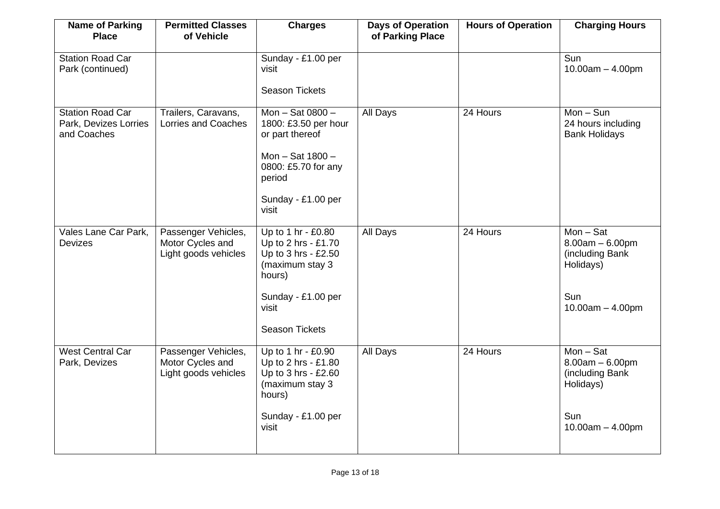| <b>Name of Parking</b><br><b>Place</b>                          | <b>Permitted Classes</b><br>of Vehicle                          | <b>Charges</b>                                                                                                                                        | <b>Days of Operation</b><br>of Parking Place | <b>Hours of Operation</b> | <b>Charging Hours</b>                                                                         |
|-----------------------------------------------------------------|-----------------------------------------------------------------|-------------------------------------------------------------------------------------------------------------------------------------------------------|----------------------------------------------|---------------------------|-----------------------------------------------------------------------------------------------|
| <b>Station Road Car</b><br>Park (continued)                     |                                                                 | Sunday - £1.00 per<br>visit<br><b>Season Tickets</b>                                                                                                  |                                              |                           | Sun<br>$10.00am - 4.00pm$                                                                     |
| <b>Station Road Car</b><br>Park, Devizes Lorries<br>and Coaches | Trailers, Caravans,<br><b>Lorries and Coaches</b>               | Mon - Sat 0800 -<br>1800: £3.50 per hour<br>or part thereof<br>Mon - Sat 1800 -<br>0800: £5.70 for any<br>period<br>Sunday - £1.00 per<br>visit       | All Days                                     | 24 Hours                  | $Mon-Sun$<br>24 hours including<br><b>Bank Holidays</b>                                       |
| Vales Lane Car Park,<br>Devizes                                 | Passenger Vehicles,<br>Motor Cycles and<br>Light goods vehicles | Up to 1 hr - £0.80<br>Up to 2 hrs - £1.70<br>Up to 3 hrs - £2.50<br>(maximum stay 3<br>hours)<br>Sunday - £1.00 per<br>visit<br><b>Season Tickets</b> | All Days                                     | 24 Hours                  | $Mon - Sat$<br>$8.00am - 6.00pm$<br>(including Bank<br>Holidays)<br>Sun<br>$10.00am - 4.00pm$ |
| <b>West Central Car</b><br>Park, Devizes                        | Passenger Vehicles,<br>Motor Cycles and<br>Light goods vehicles | Up to 1 hr - £0.90<br>Up to 2 hrs - £1.80<br>Up to 3 hrs - £2.60<br>(maximum stay 3<br>hours)<br>Sunday - £1.00 per<br>visit                          | All Days                                     | 24 Hours                  | $Mon - Sat$<br>$8.00am - 6.00pm$<br>(including Bank<br>Holidays)<br>Sun<br>$10.00am - 4.00pm$ |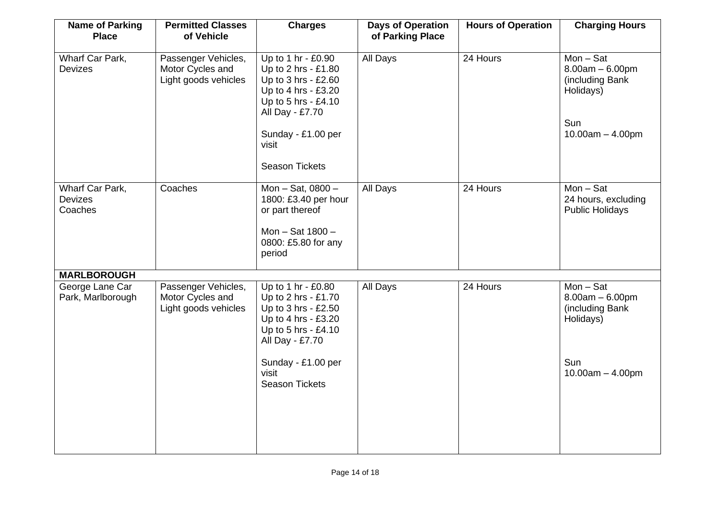| <b>Name of Parking</b><br><b>Place</b>       | <b>Permitted Classes</b><br>of Vehicle                          | <b>Charges</b>                                                                                                                                                                            | <b>Days of Operation</b><br>of Parking Place | <b>Hours of Operation</b> | <b>Charging Hours</b>                                                                          |
|----------------------------------------------|-----------------------------------------------------------------|-------------------------------------------------------------------------------------------------------------------------------------------------------------------------------------------|----------------------------------------------|---------------------------|------------------------------------------------------------------------------------------------|
| Wharf Car Park,<br><b>Devizes</b>            | Passenger Vehicles,<br>Motor Cycles and<br>Light goods vehicles | Up to 1 hr - £0.90<br>Up to 2 hrs - £1.80<br>Up to 3 hrs - £2.60<br>Up to 4 hrs - £3.20<br>Up to 5 hrs - £4.10<br>All Day - £7.70<br>Sunday - £1.00 per<br>visit<br><b>Season Tickets</b> | All Days                                     | 24 Hours                  | $Mon - Sat$<br>$8.00am - 6.00pm$<br>(including Bank<br>Holidays)<br>Sun<br>$10.00am - 4.00pm$  |
| Wharf Car Park,<br><b>Devizes</b><br>Coaches | Coaches                                                         | Mon - Sat, 0800 -<br>1800: £3.40 per hour<br>or part thereof<br>Mon - Sat 1800 -<br>0800: £5.80 for any<br>period                                                                         | All Days                                     | 24 Hours                  | $Mon - Sat$<br>24 hours, excluding<br><b>Public Holidays</b>                                   |
| <b>MARLBOROUGH</b>                           |                                                                 |                                                                                                                                                                                           |                                              |                           |                                                                                                |
| George Lane Car<br>Park, Marlborough         | Passenger Vehicles,<br>Motor Cycles and<br>Light goods vehicles | Up to 1 hr - £0.80<br>Up to 2 hrs - £1.70<br>Up to 3 hrs - £2.50<br>Up to 4 hrs - £3.20<br>Up to 5 hrs - £4.10<br>All Day - £7.70<br>Sunday - £1.00 per<br>visit<br><b>Season Tickets</b> | All Days                                     | 24 Hours                  | $Mon - Sat$<br>$8.00am - 6.00pm$<br>(including Bank)<br>Holidays)<br>Sun<br>$10.00am - 4.00pm$ |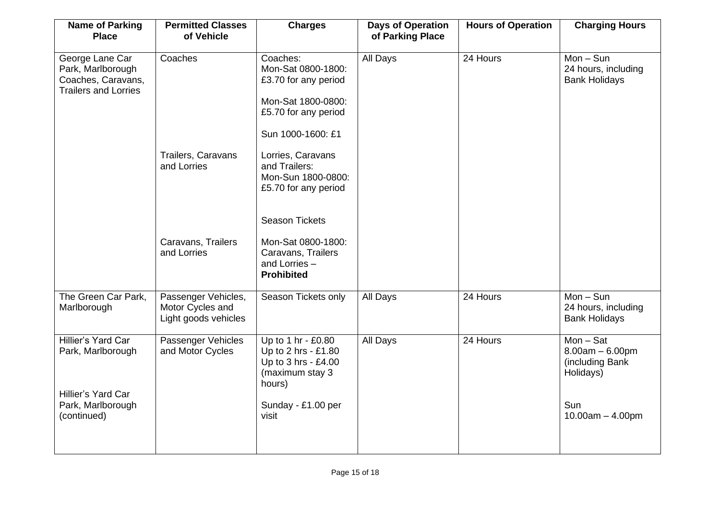| <b>Name of Parking</b><br><b>Place</b>                                                            | <b>Permitted Classes</b><br>of Vehicle                          | <b>Charges</b>                                                                                                               | <b>Days of Operation</b><br>of Parking Place | <b>Hours of Operation</b> | <b>Charging Hours</b>                                                                         |
|---------------------------------------------------------------------------------------------------|-----------------------------------------------------------------|------------------------------------------------------------------------------------------------------------------------------|----------------------------------------------|---------------------------|-----------------------------------------------------------------------------------------------|
| George Lane Car<br>Park, Marlborough<br>Coaches, Caravans,<br><b>Trailers and Lorries</b>         | Coaches                                                         | Coaches:<br>Mon-Sat 0800-1800:<br>£3.70 for any period<br>Mon-Sat 1800-0800:<br>£5.70 for any period<br>Sun 1000-1600: £1    | All Days                                     | 24 Hours                  | $Mon-Sun$<br>24 hours, including<br><b>Bank Holidays</b>                                      |
|                                                                                                   | Trailers, Caravans<br>and Lorries                               | Lorries, Caravans<br>and Trailers:<br>Mon-Sun 1800-0800:<br>£5.70 for any period<br><b>Season Tickets</b>                    |                                              |                           |                                                                                               |
|                                                                                                   | Caravans, Trailers<br>and Lorries                               | Mon-Sat 0800-1800:<br>Caravans, Trailers<br>and Lorries -<br><b>Prohibited</b>                                               |                                              |                           |                                                                                               |
| The Green Car Park,<br>Marlborough                                                                | Passenger Vehicles,<br>Motor Cycles and<br>Light goods vehicles | Season Tickets only                                                                                                          | All Days                                     | 24 Hours                  | $Mon-Sun$<br>24 hours, including<br><b>Bank Holidays</b>                                      |
| Hillier's Yard Car<br>Park, Marlborough<br>Hillier's Yard Car<br>Park, Marlborough<br>(continued) | Passenger Vehicles<br>and Motor Cycles                          | Up to 1 hr - £0.80<br>Up to 2 hrs - £1.80<br>Up to 3 hrs - £4.00<br>(maximum stay 3<br>hours)<br>Sunday - £1.00 per<br>visit | All Days                                     | 24 Hours                  | $Mon - Sat$<br>$8.00am - 6.00pm$<br>(including Bank<br>Holidays)<br>Sun<br>$10.00am - 4.00pm$ |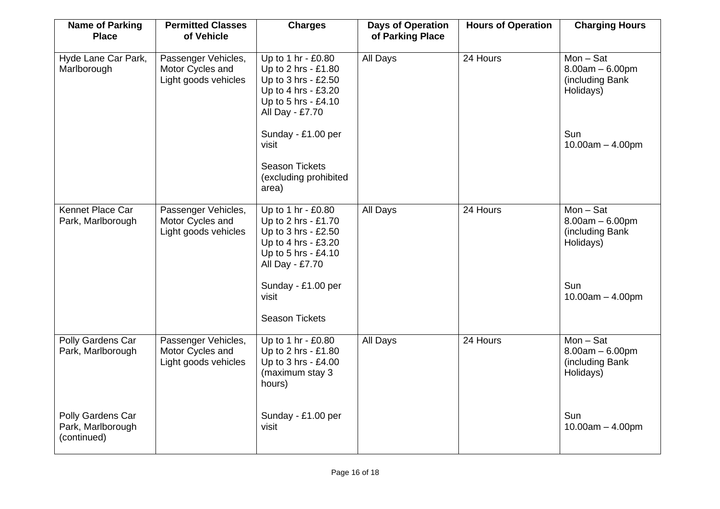| <b>Name of Parking</b><br><b>Place</b>                | <b>Permitted Classes</b><br>of Vehicle                          | <b>Charges</b>                                                                                                                    | <b>Days of Operation</b><br>of Parking Place | <b>Hours of Operation</b> | <b>Charging Hours</b>                                                       |
|-------------------------------------------------------|-----------------------------------------------------------------|-----------------------------------------------------------------------------------------------------------------------------------|----------------------------------------------|---------------------------|-----------------------------------------------------------------------------|
| Hyde Lane Car Park,<br>Marlborough                    | Passenger Vehicles,<br>Motor Cycles and<br>Light goods vehicles | Up to 1 hr - £0.80<br>Up to 2 hrs - £1.80<br>Up to 3 hrs - £2.50<br>Up to 4 hrs - £3.20<br>Up to 5 hrs - £4.10<br>All Day - £7.70 | <b>All Days</b>                              | 24 Hours                  | $Mon - \overline{Sat}$<br>$8.00am - 6.00pm$<br>(including Bank<br>Holidays) |
|                                                       |                                                                 | Sunday - £1.00 per<br>visit                                                                                                       |                                              |                           | Sun<br>$10.00am - 4.00pm$                                                   |
|                                                       |                                                                 | <b>Season Tickets</b><br>(excluding prohibited<br>area)                                                                           |                                              |                           |                                                                             |
| Kennet Place Car<br>Park, Marlborough                 | Passenger Vehicles,<br>Motor Cycles and<br>Light goods vehicles | Up to 1 hr - £0.80<br>Up to 2 hrs - £1.70<br>Up to 3 hrs - £2.50<br>Up to 4 hrs - £3.20<br>Up to 5 hrs - £4.10<br>All Day - £7.70 | All Days                                     | 24 Hours                  | $Mon - Sat$<br>$8.00am - 6.00pm$<br>(including Bank<br>Holidays)            |
|                                                       |                                                                 | Sunday - £1.00 per<br>visit<br><b>Season Tickets</b>                                                                              |                                              |                           | Sun<br>$10.00am - 4.00pm$                                                   |
| Polly Gardens Car<br>Park, Marlborough                | Passenger Vehicles,<br>Motor Cycles and<br>Light goods vehicles | Up to 1 hr - £0.80<br>Up to 2 hrs - £1.80<br>Up to 3 hrs - £4.00<br>(maximum stay 3<br>hours)                                     | All Days                                     | 24 Hours                  | $Mon - Sat$<br>$8.00am - 6.00pm$<br>(including Bank<br>Holidays)            |
| Polly Gardens Car<br>Park, Marlborough<br>(continued) |                                                                 | Sunday - £1.00 per<br>visit                                                                                                       |                                              |                           | Sun<br>$10.00am - 4.00pm$                                                   |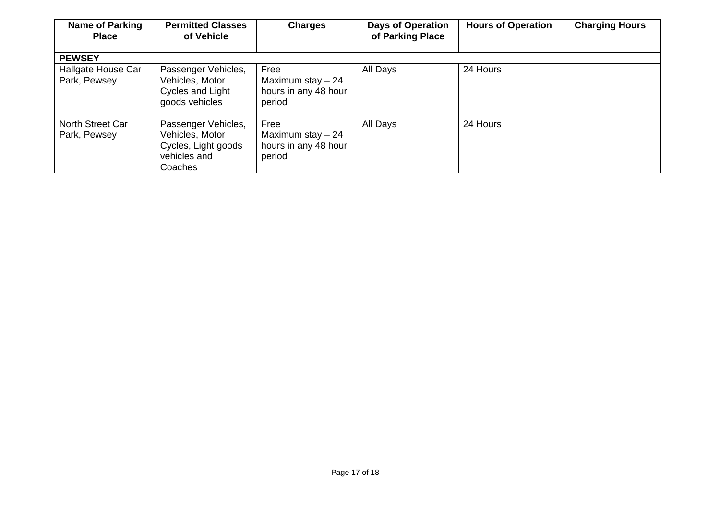| <b>Name of Parking</b><br><b>Place</b> | <b>Permitted Classes</b><br>of Vehicle                                                   | <b>Charges</b>                                               | <b>Days of Operation</b><br>of Parking Place | <b>Hours of Operation</b> | <b>Charging Hours</b> |
|----------------------------------------|------------------------------------------------------------------------------------------|--------------------------------------------------------------|----------------------------------------------|---------------------------|-----------------------|
| <b>PEWSEY</b>                          |                                                                                          |                                                              |                                              |                           |                       |
| Hallgate House Car<br>Park, Pewsey     | Passenger Vehicles,<br>Vehicles, Motor<br>Cycles and Light<br>goods vehicles             | Free<br>Maximum stay $-24$<br>hours in any 48 hour<br>period | All Days                                     | 24 Hours                  |                       |
| North Street Car<br>Park, Pewsey       | Passenger Vehicles,<br>Vehicles, Motor<br>Cycles, Light goods<br>vehicles and<br>Coaches | Free<br>Maximum stay $-24$<br>hours in any 48 hour<br>period | All Days                                     | 24 Hours                  |                       |